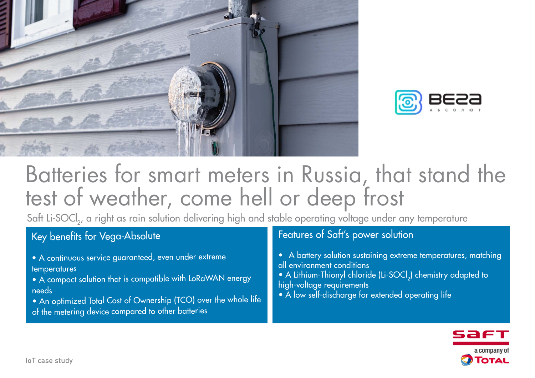



# Batteries for smart meters in Russia, that stand the test of weather, come hell or deep frost

Saft Li-SOCl<sub>2</sub>, a right as rain solution delivering high and stable operating voltage under any temperature

## Key benefits for Vega-Absolute

- A continuous service guaranteed, even under extreme temperatures
- A compact solution that is compatible with LoRaWAN energy needs
- An optimized Total Cost of Ownership (TCO) over the whole life
- of the metering device compared to other batteries

### Features of Saft's power solution

- A battery solution sustaining extreme temperatures, matching all environment conditions
- A Lithium-Thionyl chloride (Li-SOCl<sub>2</sub>) chemistry adapted to high-voltage requirements
- A low self-discharge for extended operating life